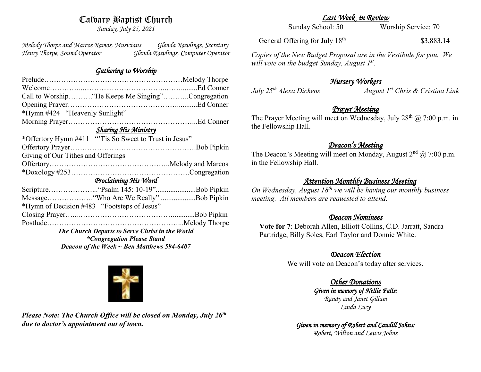# Calvary Baptist Church

*Sunday, July 25, 2021*

*Melody Thorpe and Marcos Ramos, Musicians Glenda Rawlings, Secretary Henry Thorpe, Sound Operator Glenda Rawlings, Computer Operator* 

## *Gathering to Worship*

| Call to Worship "He Keeps Me Singing"Congregation     |
|-------------------------------------------------------|
|                                                       |
| *Hymn #424 "Heavenly Sunlight"                        |
|                                                       |
| <b>Sharing His Ministry</b>                           |
| *Offertory Hymn #411 "Tis So Sweet to Trust in Jesus" |
|                                                       |
| Giving of Our Tithes and Offerings                    |
|                                                       |
|                                                       |
| Proclaiming His Word                                  |
|                                                       |
|                                                       |
| *Hymn of Decision #483 "Footsteps of Jesus"           |
|                                                       |
|                                                       |
| The Church Departs to Serve Christ in the World       |
| <i>*Congregation Please Stand</i>                     |
| Deacon of the Week $\sim$ Ben Matthews 594-6407       |

*Last Week in Review* 

Sunday School: 50 Worship Service: 70

General Offering for July 18<sup>th</sup>

\$3,883.14

*Copies of the New Budget Proposal are in the Vestibule for you. We will vote on the budget Sunday, August 1st .*

# *Nursery Workers*

*July 25th Alexa Dickens August 1st Chris & Cristina Link* 

## *Prayer Meeting*

The Prayer Meeting will meet on Wednesday, July  $28<sup>th</sup>$  ( $\omega$ ) 7:00 p.m. in the Fellowship Hall.

# *Deacon's Meeting*

The Deacon's Meeting will meet on Monday, August  $2<sup>nd</sup>$  ( $\widehat{\omega}$  7:00 p.m. in the Fellowship Hall.

## *Attention Monthly Business Meeting*

*On Wednesday, August 18th we will be having our monthly business meeting. All members are requested to attend.* 

## *Deacon Nominees*

**Vote for 7**: Deborah Allen, Elliott Collins, C.D. Jarratt, Sandra Partridge, Billy Soles, Earl Taylor and Donnie White.

# *Deacon Election*

We will vote on Deacon's today after services.

# *Other Donations*

*Given in memory of Nellie Falls: Randy and Janet Gillam Linda Lucy*

#### *Given in memory of Robert and Caudill Johns: Robert, Wilton and Lewis Johns*



*Please Note: The Church Office will be closed on Monday, July 26th due to doctor's appointment out of town.*